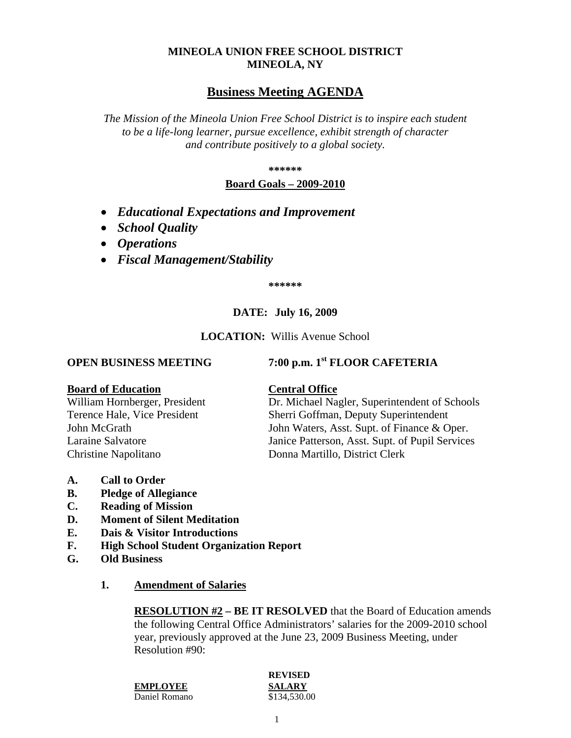#### **MINEOLA UNION FREE SCHOOL DISTRICT MINEOLA, NY**

# **Business Meeting AGENDA**

*The Mission of the Mineola Union Free School District is to inspire each student to be a life-long learner, pursue excellence, exhibit strength of character and contribute positively to a global society.*

**\*\*\*\*\*\***

#### **Board Goals – 2009-2010**

- *Educational Expectations and Improvement*
- *School Quality*
- *Operations*
- *Fiscal Management/Stability*

**\*\*\*\*\*\***

### **DATE: July 16, 2009**

**LOCATION:** Willis Avenue School

**OPEN BUSINESS MEETING 7:00 p.m. 1st FLOOR CAFETERIA**

#### **Board of Education Central Office**

Christine Napolitano Donna Martillo, District Clerk

# William Hornberger, President Dr. Michael Nagler, Superintendent of Schools Terence Hale, Vice President Sherri Goffman, Deputy Superintendent John McGrath John Waters, Asst. Supt. of Finance & Oper. Laraine Salvatore Janice Patterson, Asst. Supt. of Pupil Services

**A. Call to Order**

- **B. Pledge of Allegiance**
- **C. Reading of Mission**
- **D. Moment of Silent Meditation**
- **E. Dais & Visitor Introductions**
- **F. High School Student Organization Report**
- **G. Old Business**
	- **1. Amendment of Salaries**

**RESOLUTION #2 – BE IT RESOLVED** that the Board of Education amends the following Central Office Administrators' salaries for the 2009-2010 school year, previously approved at the June 23, 2009 Business Meeting, under Resolution #90:

**EMPLOYEE SALARY** Daniel Romano \$134,530.00

# **REVISED**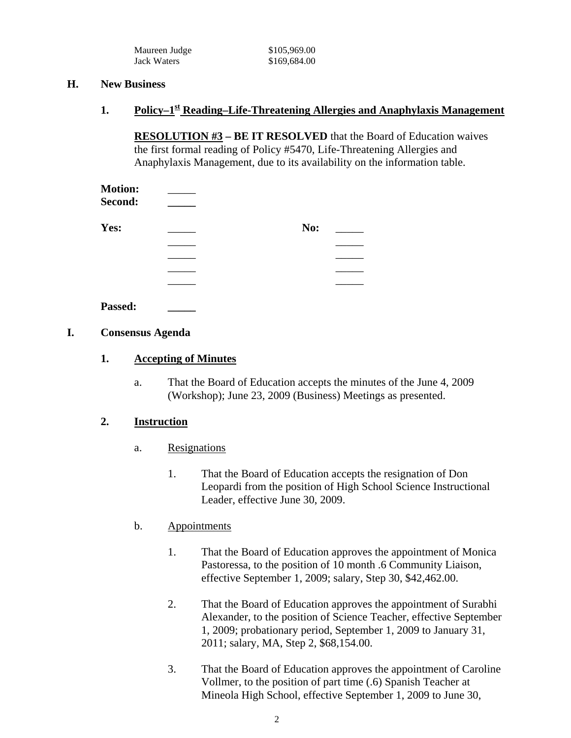| Maureen Judge | \$105,969.00 |
|---------------|--------------|
| Jack Waters   | \$169,684.00 |

#### **H. New Business**

## 1. **Policy–1<sup>st</sup> Reading–Life-Threatening Allergies and Anaphylaxis Management**

**RESOLUTION #3 – BE IT RESOLVED** that the Board of Education waives the first formal reading of Policy #5470, Life-Threatening Allergies and Anaphylaxis Management, due to its availability on the information table.

| <b>Motion:</b><br>Second: |     |  |
|---------------------------|-----|--|
| Yes:                      | No: |  |
|                           |     |  |
|                           |     |  |
|                           |     |  |
|                           |     |  |
| Passed:                   |     |  |

### **I. Consensus Agenda**

### **1. Accepting of Minutes**

a. That the Board of Education accepts the minutes of the June 4, 2009 (Workshop); June 23, 2009 (Business) Meetings as presented.

### **2. Instruction**

- a. Resignations
	- 1. That the Board of Education accepts the resignation of Don Leopardi from the position of High School Science Instructional Leader, effective June 30, 2009.

### b. Appointments

- 1. That the Board of Education approves the appointment of Monica Pastoressa, to the position of 10 month .6 Community Liaison, effective September 1, 2009; salary, Step 30, \$42,462.00.
- 2. That the Board of Education approves the appointment of Surabhi Alexander, to the position of Science Teacher, effective September 1, 2009; probationary period, September 1, 2009 to January 31, 2011; salary, MA, Step 2, \$68,154.00.
- 3. That the Board of Education approves the appointment of Caroline Vollmer, to the position of part time (.6) Spanish Teacher at Mineola High School, effective September 1, 2009 to June 30,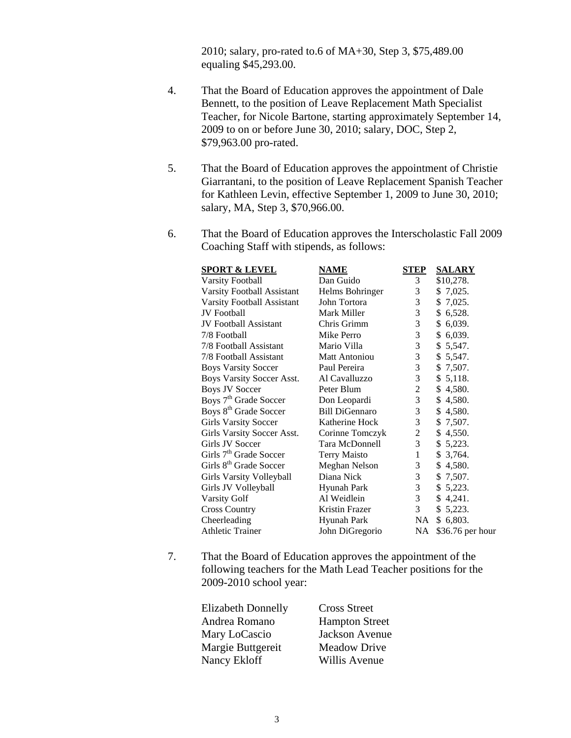2010; salary, pro-rated to.6 of MA+30, Step 3, \$75,489.00 equaling \$45,293.00.

- 4. That the Board of Education approves the appointment of Dale Bennett, to the position of Leave Replacement Math Specialist Teacher, for Nicole Bartone, starting approximately September 14, 2009 to on or before June 30, 2010; salary, DOC, Step 2, \$79,963.00 pro-rated.
- 5. That the Board of Education approves the appointment of Christie Giarrantani, to the position of Leave Replacement Spanish Teacher for Kathleen Levin, effective September 1, 2009 to June 30, 2010; salary, MA, Step 3, \$70,966.00.
- 6. That the Board of Education approves the Interscholastic Fall 2009 Coaching Staff with stipends, as follows:

| <b>SPORT &amp; LEVEL</b>           | <b>NAME</b>           | <b>STEP</b>    | <b>SALARY</b>    |
|------------------------------------|-----------------------|----------------|------------------|
| <b>Varsity Football</b>            | Dan Guido             | 3              | \$10,278.        |
| Varsity Football Assistant         | Helms Bohringer       | 3              | \$7,025.         |
| Varsity Football Assistant         | John Tortora          | 3              | 7,025.<br>\$     |
| <b>JV</b> Football                 | Mark Miller           | 3              | \$6,528.         |
| <b>JV</b> Football Assistant       | Chris Grimm           | 3              | 6,039.<br>\$     |
| 7/8 Football                       | Mike Perro            | 3              | \$6,039.         |
| 7/8 Football Assistant             | Mario Villa           | 3              | 5,547.<br>\$     |
| 7/8 Football Assistant             | <b>Matt Antoniou</b>  | 3              | \$5,547.         |
| <b>Boys Varsity Soccer</b>         | Paul Pereira          | 3              | \$<br>7,507.     |
| <b>Boys Varsity Soccer Asst.</b>   | Al Cavalluzzo         | 3              | 5,118.<br>\$     |
| <b>Boys JV Soccer</b>              | Peter Blum            | $\overline{c}$ | \$<br>4,580.     |
| Boys 7 <sup>th</sup> Grade Soccer  | Don Leopardi          | 3              | 4,580.<br>\$     |
| Boys 8 <sup>th</sup> Grade Soccer  | <b>Bill DiGennaro</b> | 3              | \$<br>4,580.     |
| <b>Girls Varsity Soccer</b>        | Katherine Hock        | $\mathfrak{Z}$ | 7,507.<br>\$     |
| Girls Varsity Soccer Asst.         | Corinne Tomczyk       | 2              | \$<br>4,550.     |
| Girls JV Soccer                    | Tara McDonnell        | $\mathfrak{Z}$ | \$5,223.         |
| Girls 7 <sup>th</sup> Grade Soccer | <b>Terry Maisto</b>   | 1              | \$<br>3,764.     |
| Girls 8 <sup>th</sup> Grade Soccer | Meghan Nelson         | 3              | \$<br>4,580.     |
| Girls Varsity Volleyball           | Diana Nick            | 3              | \$<br>7,507.     |
| Girls JV Volleyball                | <b>Hyunah Park</b>    | $\overline{3}$ | \$5,223.         |
| <b>Varsity Golf</b>                | Al Weidlein           | $\mathfrak{Z}$ | \$<br>4,241.     |
| <b>Cross Country</b>               | Kristin Frazer        | 3              | \$<br>5,223.     |
| Cheerleading                       | <b>Hyunah Park</b>    | NA.            | \$6,803.         |
| <b>Athletic Trainer</b>            | John DiGregorio       | NA             | \$36.76 per hour |
|                                    |                       |                |                  |

7. That the Board of Education approves the appointment of the following teachers for the Math Lead Teacher positions for the 2009-2010 school year:

| <b>Elizabeth Donnelly</b> | <b>Cross Street</b>   |
|---------------------------|-----------------------|
| Andrea Romano             | <b>Hampton Street</b> |
| Mary LoCascio             | Jackson Avenue        |
| Margie Buttgereit         | <b>Meadow Drive</b>   |
| Nancy Ekloff              | Willis Avenue         |
|                           |                       |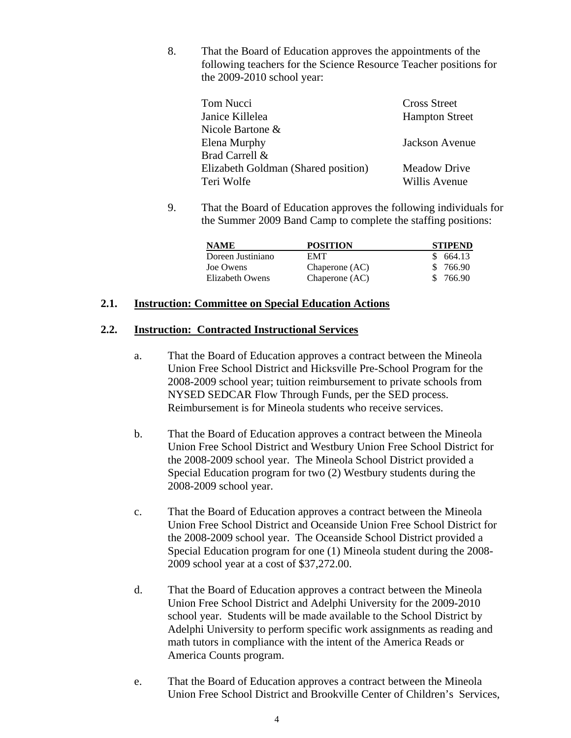8. That the Board of Education approves the appointments of the following teachers for the Science Resource Teacher positions for the 2009-2010 school year:

| <b>Cross Street</b>   |
|-----------------------|
| <b>Hampton Street</b> |
|                       |
| Jackson Avenue        |
|                       |
| <b>Meadow Drive</b>   |
| Willis Avenue         |
|                       |

9. That the Board of Education approves the following individuals for the Summer 2009 Band Camp to complete the staffing positions:

| <b>NAME</b>       | <b>POSITION</b> | <b>STIPEND</b> |
|-------------------|-----------------|----------------|
| Doreen Justiniano | <b>EMT</b>      | \$664.13       |
| Joe Owens         | Chaperone (AC)  | \$ 766.90      |
| Elizabeth Owens   | Chaperone (AC)  | \$ 766.90      |

#### **2.1. Instruction: Committee on Special Education Actions**

### **2.2. Instruction: Contracted Instructional Services**

- a. That the Board of Education approves a contract between the Mineola Union Free School District and Hicksville Pre-School Program for the 2008-2009 school year; tuition reimbursement to private schools from NYSED SEDCAR Flow Through Funds, per the SED process. Reimbursement is for Mineola students who receive services.
- b. That the Board of Education approves a contract between the Mineola Union Free School District and Westbury Union Free School District for the 2008-2009 school year. The Mineola School District provided a Special Education program for two (2) Westbury students during the 2008-2009 school year.
- c. That the Board of Education approves a contract between the Mineola Union Free School District and Oceanside Union Free School District for the 2008-2009 school year. The Oceanside School District provided a Special Education program for one (1) Mineola student during the 2008- 2009 school year at a cost of \$37,272.00.
- d. That the Board of Education approves a contract between the Mineola Union Free School District and Adelphi University for the 2009-2010 school year. Students will be made available to the School District by Adelphi University to perform specific work assignments as reading and math tutors in compliance with the intent of the America Reads or America Counts program.
- e. That the Board of Education approves a contract between the Mineola Union Free School District and Brookville Center of Children's Services,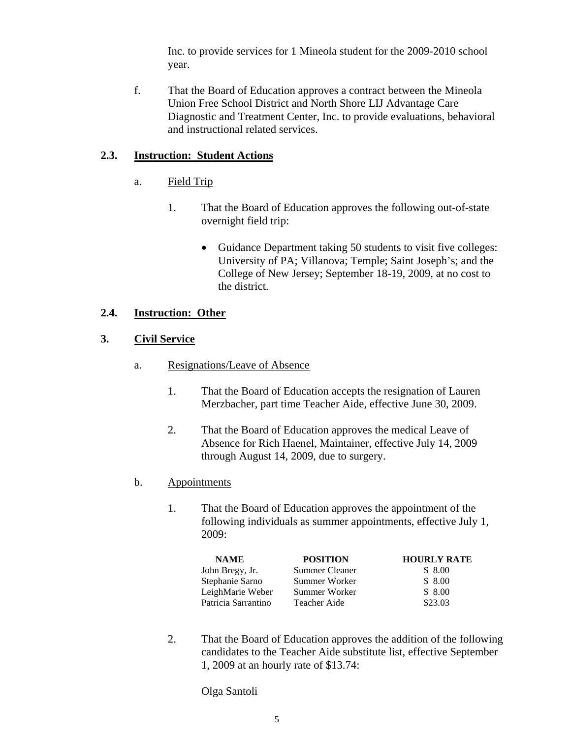Inc. to provide services for 1 Mineola student for the 2009-2010 school year.

f. That the Board of Education approves a contract between the Mineola Union Free School District and North Shore LIJ Advantage Care Diagnostic and Treatment Center, Inc. to provide evaluations, behavioral and instructional related services.

#### **2.3. Instruction: Student Actions**

- a. Field Trip
	- 1. That the Board of Education approves the following out-of-state overnight field trip:
		- Guidance Department taking 50 students to visit five colleges: University of PA; Villanova; Temple; Saint Joseph's; and the College of New Jersey; September 18-19, 2009, at no cost to the district.

#### **2.4. Instruction: Other**

#### **3. Civil Service**

- a. Resignations/Leave of Absence
	- 1. That the Board of Education accepts the resignation of Lauren Merzbacher, part time Teacher Aide, effective June 30, 2009.
	- 2. That the Board of Education approves the medical Leave of Absence for Rich Haenel, Maintainer, effective July 14, 2009 through August 14, 2009, due to surgery.
- b. Appointments
	- 1. That the Board of Education approves the appointment of the following individuals as summer appointments, effective July 1, 2009:

| <b>NAME</b>         | <b>POSITION</b>       | <b>HOURLY RATE</b> |
|---------------------|-----------------------|--------------------|
| John Bregy, Jr.     | <b>Summer Cleaner</b> | \$8.00             |
| Stephanie Sarno     | Summer Worker         | \$8.00             |
| LeighMarie Weber    | Summer Worker         | \$8.00             |
| Patricia Sarrantino | Teacher Aide          | \$23.03            |

2. That the Board of Education approves the addition of the following candidates to the Teacher Aide substitute list, effective September 1, 2009 at an hourly rate of \$13.74:

Olga Santoli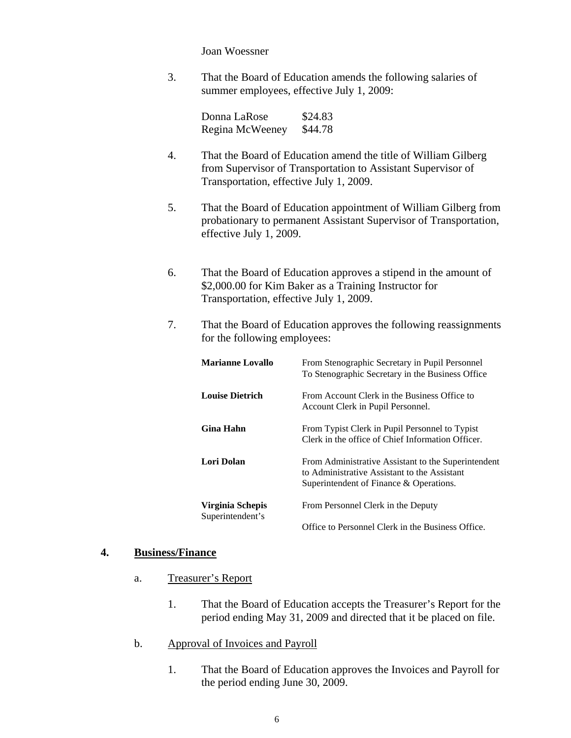Joan Woessner

3. That the Board of Education amends the following salaries of summer employees, effective July 1, 2009:

> Donna LaRose \$24.83 Regina McWeeney \$44.78

- 4. That the Board of Education amend the title of William Gilberg from Supervisor of Transportation to Assistant Supervisor of Transportation, effective July 1, 2009.
- 5. That the Board of Education appointment of William Gilberg from probationary to permanent Assistant Supervisor of Transportation, effective July 1, 2009.
- 6. That the Board of Education approves a stipend in the amount of \$2,000.00 for Kim Baker as a Training Instructor for Transportation, effective July 1, 2009.
- 7. That the Board of Education approves the following reassignments for the following employees:

| <b>Marianne Lovallo</b>              | From Stenographic Secretary in Pupil Personnel<br>To Stenographic Secretary in the Business Office                                             |
|--------------------------------------|------------------------------------------------------------------------------------------------------------------------------------------------|
| <b>Louise Dietrich</b>               | From Account Clerk in the Business Office to<br>Account Clerk in Pupil Personnel.                                                              |
| <b>Gina Hahn</b>                     | From Typist Clerk in Pupil Personnel to Typist<br>Clerk in the office of Chief Information Officer.                                            |
| Lori Dolan                           | From Administrative Assistant to the Superintendent<br>to Administrative Assistant to the Assistant<br>Superintendent of Finance & Operations. |
| Virginia Schepis<br>Superintendent's | From Personnel Clerk in the Deputy                                                                                                             |
|                                      | Office to Personnel Clerk in the Business Office.                                                                                              |

#### **4. Business/Finance**

- a. Treasurer's Report
	- 1. That the Board of Education accepts the Treasurer's Report for the period ending May 31, 2009 and directed that it be placed on file.
- b. Approval of Invoices and Payroll
	- 1. That the Board of Education approves the Invoices and Payroll for the period ending June 30, 2009.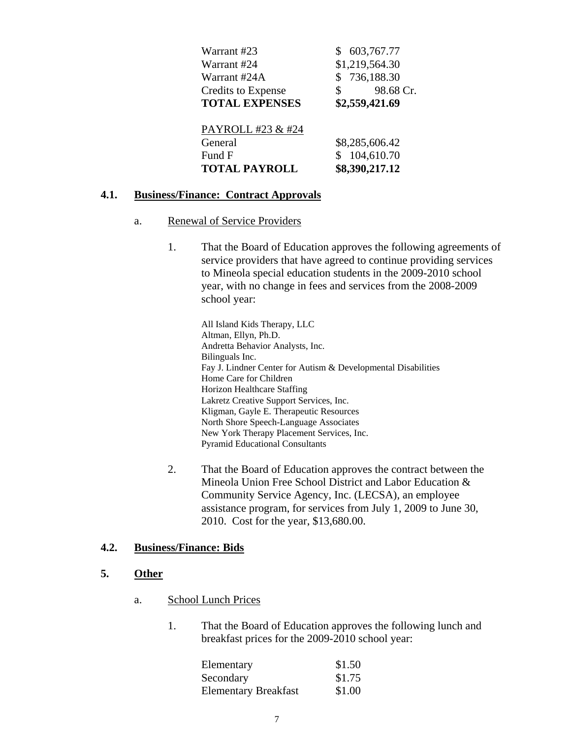| Warrant #23               | 603,767.77      |
|---------------------------|-----------------|
| Warrant #24               | \$1,219,564.30  |
| Warrant #24A              | \$736,188.30    |
| <b>Credits to Expense</b> | 98.68 Cr.<br>\$ |
| <b>TOTAL EXPENSES</b>     | \$2,559,421.69  |
|                           |                 |
|                           |                 |
| PAYROLL #23 & #24         |                 |
| General                   | \$8,285,606.42  |
| Fund F                    | 104,610.70      |

#### **4.1. Business/Finance: Contract Approvals**

#### a. Renewal of Service Providers

1. That the Board of Education approves the following agreements of service providers that have agreed to continue providing services to Mineola special education students in the 2009-2010 school year, with no change in fees and services from the 2008-2009 school year:

All Island Kids Therapy, LLC Altman, Ellyn, Ph.D. Andretta Behavior Analysts, Inc. Bilinguals Inc. Fay J. Lindner Center for Autism & Developmental Disabilities Home Care for Children Horizon Healthcare Staffing Lakretz Creative Support Services, Inc. Kligman, Gayle E. Therapeutic Resources North Shore Speech-Language Associates New York Therapy Placement Services, Inc. Pyramid Educational Consultants

2. That the Board of Education approves the contract between the Mineola Union Free School District and Labor Education & Community Service Agency, Inc. (LECSA), an employee assistance program, for services from July 1, 2009 to June 30, 2010. Cost for the year, \$13,680.00.

#### **4.2. Business/Finance: Bids**

#### **5. Other**

- a. School Lunch Prices
	- 1. That the Board of Education approves the following lunch and breakfast prices for the 2009-2010 school year:

| Elementary                  | \$1.50 |
|-----------------------------|--------|
| Secondary                   | \$1.75 |
| <b>Elementary Breakfast</b> | \$1.00 |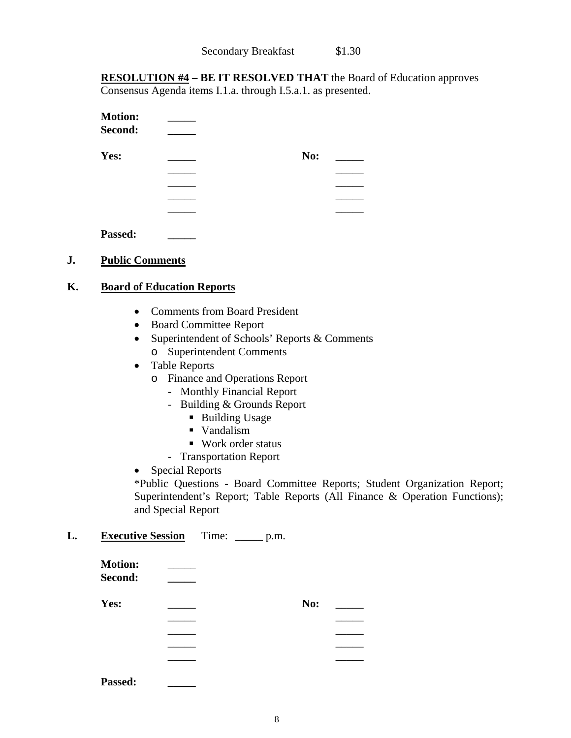**RESOLUTION #4 – BE IT RESOLVED THAT** the Board of Education approves Consensus Agenda items I.1.a. through I.5.a.1. as presented.

| <b>Motion:</b><br>Second: |     |  |
|---------------------------|-----|--|
| Yes:                      | No: |  |
|                           |     |  |
|                           |     |  |
|                           |     |  |
|                           |     |  |
| Passed:                   |     |  |

#### **J. Public Comments**

#### **K. Board of Education Reports**

- Comments from Board President
- Board Committee Report
- Superintendent of Schools' Reports & Comments o Superintendent Comments
- Table Reports
	- o Finance and Operations Report
		- Monthly Financial Report
		- Building & Grounds Report
			- Building Usage
			- Vandalism
			- Work order status
		- Transportation Report
- Special Reports

\*Public Questions - Board Committee Reports; Student Organization Report; Superintendent's Report; Table Reports (All Finance & Operation Functions); and Special Report

#### **L. Executive Session** Time: \_\_\_\_\_ p.m.

| <b>Motion:</b>           |     |  |
|--------------------------|-----|--|
| Second:                  |     |  |
| Yes:                     | No: |  |
|                          |     |  |
|                          |     |  |
|                          |     |  |
|                          |     |  |
| $\overline{\phantom{a}}$ |     |  |

**Passed: \_\_\_\_\_**